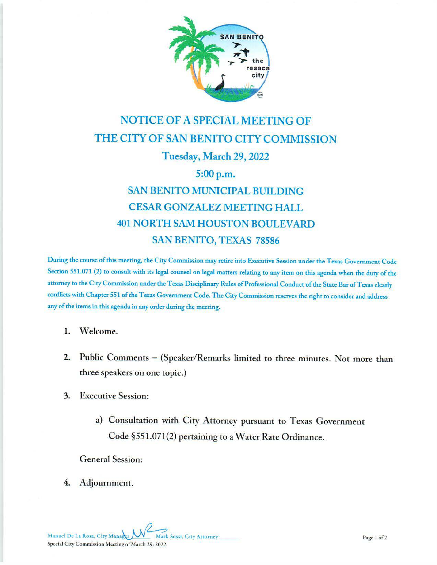

## **NOTICE OF A SPECIAL MEETING OF** THE CITY OF SAN BENITO CITY COMMISSION Tuesday, March 29, 2022 5:00 p.m. **SAN BENITO MUNICIPAL BUILDING CESAR GONZALEZ MEETING HALL 401 NORTH SAM HOUSTON BOULEVARD SAN BENITO, TEXAS 78586**

During the course of this meeting, the City Commission may retire into Executive Session under the Texas Government Code Section 551.071 (2) to consult with its legal counsel on legal matters relating to any item on this agenda when the duty of the attorney to the City Commission under the Texas Disciplinary Rules of Professional Conduct of the State Bar of Texas clearly conflicts with Chapter 551 of the Texas Government Code. The City Commission reserves the right to consider and address any of the items in this agenda in any order during the meeting.

 $1.$ Welcome.

- Public Comments (Speaker/Remarks limited to three minutes. Not more than  $2.$ three speakers on one topic.)
- **Executive Session:**  $3.$ 
	- a) Consultation with City Attorney pursuant to Texas Government Code §551.071(2) pertaining to a Water Rate Ordinance.

**General Session:** 

4. Adjournment.